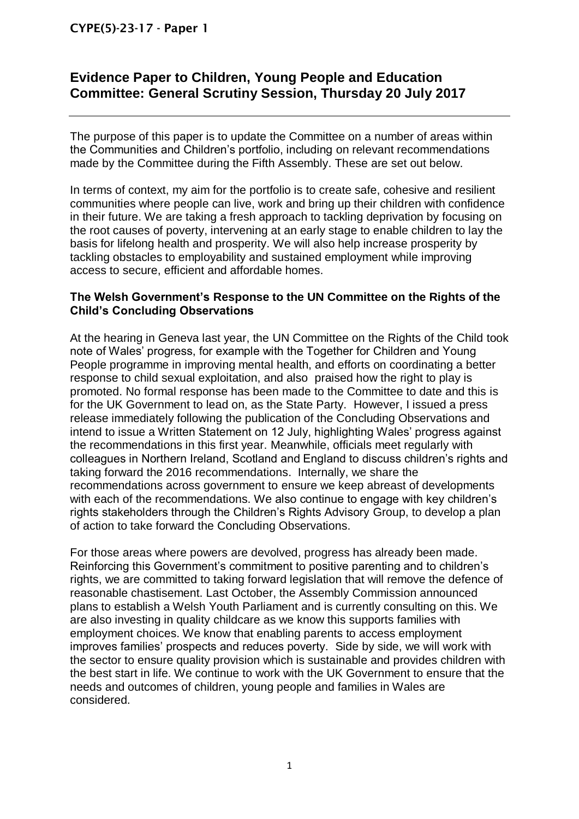# CYPE(5)-23-17 - Paper 1

# **Evidence Paper to Children, Young People and Education Committee: General Scrutiny Session, Thursday 20 July 2017**

The purpose of this paper is to update the Committee on a number of areas within the Communities and Children's portfolio, including on relevant recommendations made by the Committee during the Fifth Assembly. These are set out below.

In terms of context, my aim for the portfolio is to create safe, cohesive and resilient communities where people can live, work and bring up their children with confidence in their future. We are taking a fresh approach to tackling deprivation by focusing on the root causes of poverty, intervening at an early stage to enable children to lay the basis for lifelong health and prosperity. We will also help increase prosperity by tackling obstacles to employability and sustained employment while improving access to secure, efficient and affordable homes.

## **The Welsh Government's Response to the UN Committee on the Rights of the Child's Concluding Observations**

At the hearing in Geneva last year, the UN Committee on the Rights of the Child took note of Wales' progress, for example with the Together for Children and Young People programme in improving mental health, and efforts on coordinating a better response to child sexual exploitation, and also praised how the right to play is promoted. No formal response has been made to the Committee to date and this is for the UK Government to lead on, as the State Party. However, I issued a press release immediately following the publication of the Concluding Observations and intend to issue a Written Statement on 12 July, highlighting Wales' progress against the recommendations in this first year. Meanwhile, officials meet regularly with colleagues in Northern Ireland, Scotland and England to discuss children's rights and taking forward the 2016 recommendations. Internally, we share the recommendations across government to ensure we keep abreast of developments with each of the recommendations. We also continue to engage with key children's rights stakeholders through the Children's Rights Advisory Group, to develop a plan of action to take forward the Concluding Observations.

For those areas where powers are devolved, progress has already been made. Reinforcing this Government's commitment to positive parenting and to children's rights, we are committed to taking forward legislation that will remove the defence of reasonable chastisement. Last October, the Assembly Commission announced plans to establish a Welsh Youth Parliament and is currently consulting on this. We are also investing in quality childcare as we know this supports families with employment choices. We know that enabling parents to access employment improves families' prospects and reduces poverty. Side by side, we will work with the sector to ensure quality provision which is sustainable and provides children with the best start in life. We continue to work with the UK Government to ensure that the needs and outcomes of children, young people and families in Wales are considered.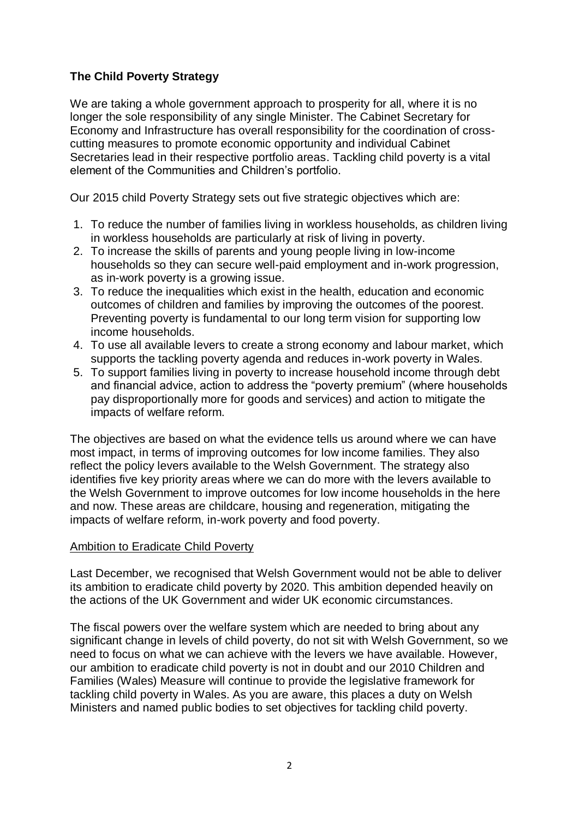# **The Child Poverty Strategy**

We are taking a whole government approach to prosperity for all, where it is no longer the sole responsibility of any single Minister. The Cabinet Secretary for Economy and Infrastructure has overall responsibility for the coordination of crosscutting measures to promote economic opportunity and individual Cabinet Secretaries lead in their respective portfolio areas. Tackling child poverty is a vital element of the Communities and Children's portfolio.

Our 2015 child Poverty Strategy sets out five strategic objectives which are:

- 1. To reduce the number of families living in workless households, as children living in workless households are particularly at risk of living in poverty.
- 2. To increase the skills of parents and young people living in low-income households so they can secure well-paid employment and in-work progression, as in-work poverty is a growing issue.
- 3. To reduce the inequalities which exist in the health, education and economic outcomes of children and families by improving the outcomes of the poorest. Preventing poverty is fundamental to our long term vision for supporting low income households.
- 4. To use all available levers to create a strong economy and labour market, which supports the tackling poverty agenda and reduces in-work poverty in Wales.
- 5. To support families living in poverty to increase household income through debt and financial advice, action to address the "poverty premium" (where households pay disproportionally more for goods and services) and action to mitigate the impacts of welfare reform.

The objectives are based on what the evidence tells us around where we can have most impact, in terms of improving outcomes for low income families. They also reflect the policy levers available to the Welsh Government. The strategy also identifies five key priority areas where we can do more with the levers available to the Welsh Government to improve outcomes for low income households in the here and now. These areas are childcare, housing and regeneration, mitigating the impacts of welfare reform, in-work poverty and food poverty.

#### Ambition to Eradicate Child Poverty

Last December, we recognised that Welsh Government would not be able to deliver its ambition to eradicate child poverty by 2020. This ambition depended heavily on the actions of the UK Government and wider UK economic circumstances.

The fiscal powers over the welfare system which are needed to bring about any significant change in levels of child poverty, do not sit with Welsh Government, so we need to focus on what we can achieve with the levers we have available. However, our ambition to eradicate child poverty is not in doubt and our 2010 Children and Families (Wales) Measure will continue to provide the legislative framework for tackling child poverty in Wales. As you are aware, this places a duty on Welsh Ministers and named public bodies to set objectives for tackling child poverty.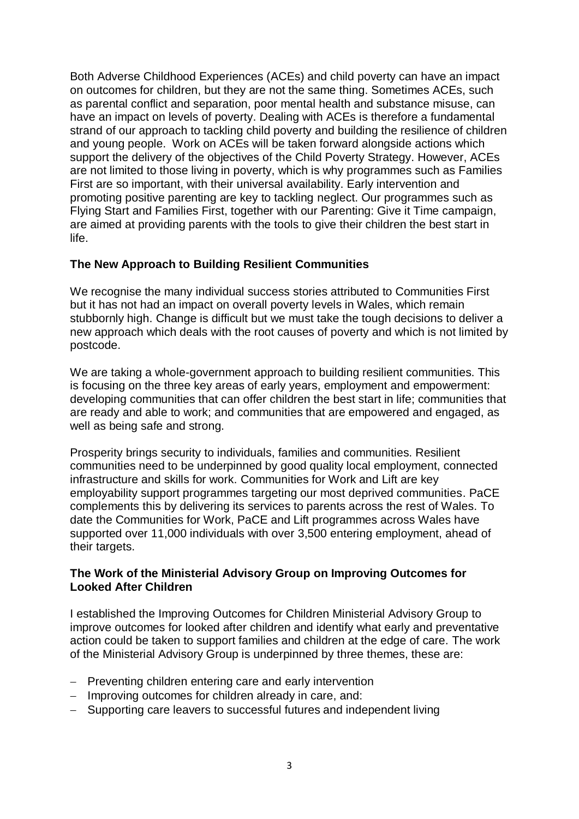Both Adverse Childhood Experiences (ACEs) and child poverty can have an impact on outcomes for children, but they are not the same thing. Sometimes ACEs, such as parental conflict and separation, poor mental health and substance misuse, can have an impact on levels of poverty. Dealing with ACEs is therefore a fundamental strand of our approach to tackling child poverty and building the resilience of children and young people. Work on ACEs will be taken forward alongside actions which support the delivery of the objectives of the Child Poverty Strategy. However, ACEs are not limited to those living in poverty, which is why programmes such as Families First are so important, with their universal availability. Early intervention and promoting positive parenting are key to tackling neglect. Our programmes such as Flying Start and Families First, together with our Parenting: Give it Time campaign, are aimed at providing parents with the tools to give their children the best start in life.

## **The New Approach to Building Resilient Communities**

We recognise the many individual success stories attributed to Communities First but it has not had an impact on overall poverty levels in Wales, which remain stubbornly high. Change is difficult but we must take the tough decisions to deliver a new approach which deals with the root causes of poverty and which is not limited by postcode.

We are taking a whole-government approach to building resilient communities. This is focusing on the three key areas of early years, employment and empowerment: developing communities that can offer children the best start in life; communities that are ready and able to work; and communities that are empowered and engaged, as well as being safe and strong.

Prosperity brings security to individuals, families and communities. Resilient communities need to be underpinned by good quality local employment, connected infrastructure and skills for work. Communities for Work and Lift are key employability support programmes targeting our most deprived communities. PaCE complements this by delivering its services to parents across the rest of Wales. To date the Communities for Work, PaCE and Lift programmes across Wales have supported over 11,000 individuals with over 3,500 entering employment, ahead of their targets.

#### **The Work of the Ministerial Advisory Group on Improving Outcomes for Looked After Children**

I established the Improving Outcomes for Children Ministerial Advisory Group to improve outcomes for looked after children and identify what early and preventative action could be taken to support families and children at the edge of care. The work of the Ministerial Advisory Group is underpinned by three themes, these are:

- Preventing children entering care and early intervention
- Improving outcomes for children already in care, and:
- Supporting care leavers to successful futures and independent living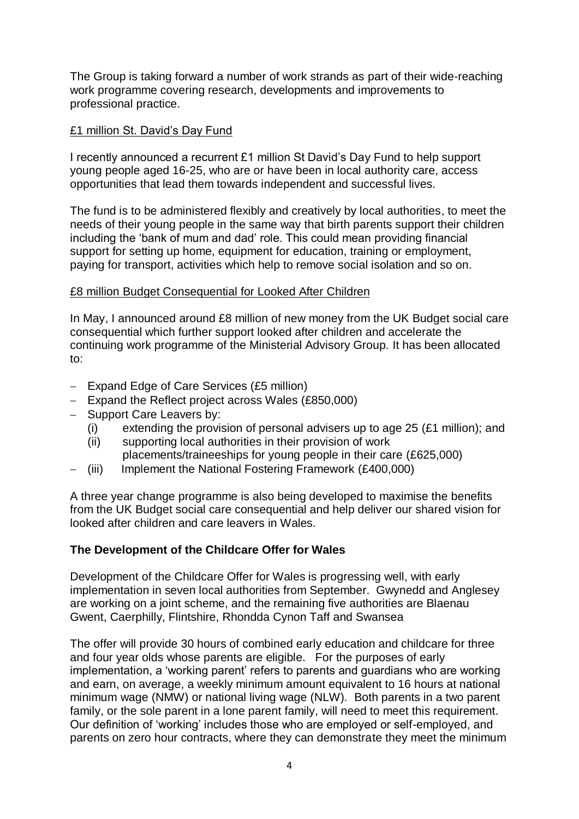The Group is taking forward a number of work strands as part of their wide-reaching work programme covering research, developments and improvements to professional practice.

## £1 million St. David's Day Fund

I recently announced a recurrent £1 million St David's Day Fund to help support young people aged 16-25, who are or have been in local authority care, access opportunities that lead them towards independent and successful lives.

The fund is to be administered flexibly and creatively by local authorities, to meet the needs of their young people in the same way that birth parents support their children including the 'bank of mum and dad' role. This could mean providing financial support for setting up home, equipment for education, training or employment, paying for transport, activities which help to remove social isolation and so on.

#### £8 million Budget Consequential for Looked After Children

In May, I announced around £8 million of new money from the UK Budget social care consequential which further support looked after children and accelerate the continuing work programme of the Ministerial Advisory Group. It has been allocated to:

- $-$  Expand Edge of Care Services (£5 million)
- Expand the Reflect project across Wales (£850,000)
- Support Care Leavers by:
	- (i) extending the provision of personal advisers up to age 25 (£1 million); and
	- (ii) supporting local authorities in their provision of work placements/traineeships for young people in their care (£625,000)
- (iii) Implement the National Fostering Framework (£400,000)

A three year change programme is also being developed to maximise the benefits from the UK Budget social care consequential and help deliver our shared vision for looked after children and care leavers in Wales.

#### **The Development of the Childcare Offer for Wales**

Development of the Childcare Offer for Wales is progressing well, with early implementation in seven local authorities from September. Gwynedd and Anglesey are working on a joint scheme, and the remaining five authorities are Blaenau Gwent, Caerphilly, Flintshire, Rhondda Cynon Taff and Swansea

The offer will provide 30 hours of combined early education and childcare for three and four year olds whose parents are eligible. For the purposes of early implementation, a 'working parent' refers to parents and guardians who are working and earn, on average, a weekly minimum amount equivalent to 16 hours at national minimum wage (NMW) or national living wage (NLW). Both parents in a two parent family, or the sole parent in a lone parent family, will need to meet this requirement. Our definition of 'working' includes those who are employed or self-employed, and parents on zero hour contracts, where they can demonstrate they meet the minimum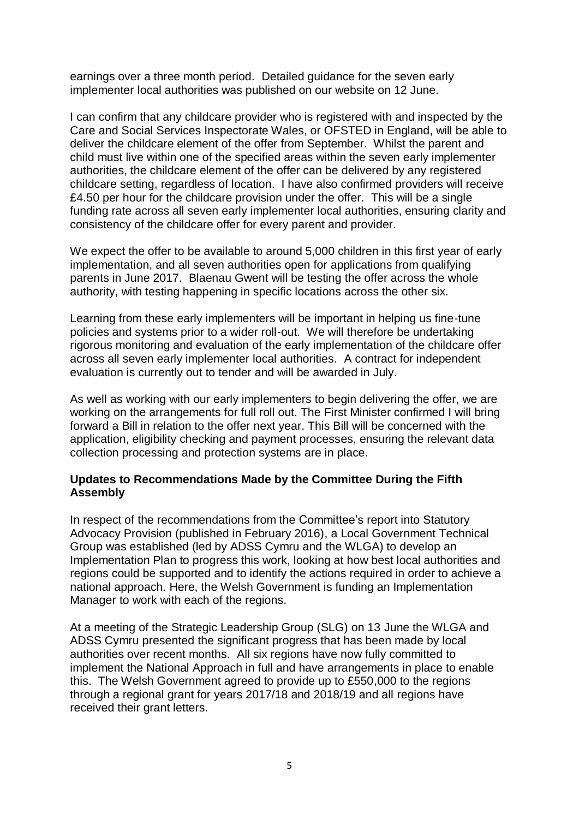earnings over a three month period. Detailed guidance for the seven early implementer local authorities was published on our website on 12 June.

I can confirm that any childcare provider who is registered with and inspected by the Care and Social Services Inspectorate Wales, or OFSTED in England, will be able to deliver the childcare element of the offer from September. Whilst the parent and child must live within one of the specified areas within the seven early implementer authorities, the childcare element of the offer can be delivered by any registered childcare setting, regardless of location. I have also confirmed providers will receive £4.50 per hour for the childcare provision under the offer. This will be a single funding rate across all seven early implementer local authorities, ensuring clarity and consistency of the childcare offer for every parent and provider.

We expect the offer to be available to around 5,000 children in this first year of early implementation, and all seven authorities open for applications from qualifying parents in June 2017. Blaenau Gwent will be testing the offer across the whole authority, with testing happening in specific locations across the other six.

Learning from these early implementers will be important in helping us fine-tune policies and systems prior to a wider roll-out. We will therefore be undertaking rigorous monitoring and evaluation of the early implementation of the childcare offer across all seven early implementer local authorities. A contract for independent evaluation is currently out to tender and will be awarded in July.

As well as working with our early implementers to begin delivering the offer, we are working on the arrangements for full roll out. The First Minister confirmed I will bring forward a Bill in relation to the offer next year. This Bill will be concerned with the application, eligibility checking and payment processes, ensuring the relevant data collection processing and protection systems are in place.

#### **Updates to Recommendations Made by the Committee During the Fifth Assembly**

In respect of the recommendations from the Committee's report into Statutory Advocacy Provision (published in February 2016), a Local Government Technical Group was established (led by ADSS Cymru and the WLGA) to develop an Implementation Plan to progress this work, looking at how best local authorities and regions could be supported and to identify the actions required in order to achieve a national approach. Here, the Welsh Government is funding an Implementation Manager to work with each of the regions.

At a meeting of the Strategic Leadership Group (SLG) on 13 June the WLGA and ADSS Cymru presented the significant progress that has been made by local authorities over recent months. All six regions have now fully committed to implement the National Approach in full and have arrangements in place to enable this. The Welsh Government agreed to provide up to £550,000 to the regions through a regional grant for years 2017/18 and 2018/19 and all regions have received their grant letters.